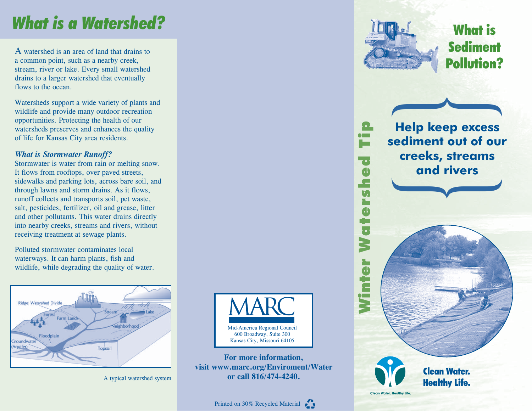# *What is a Watershed?*

A watershed is an area of land that drains to a common point, such as a nearby creek, stream, river or lake. Every small watershed drains to a larger watershed that eventually flows to the ocean.

Watersheds support a wide variety of plants and wildlife and provide many outdoor recreation opportunities. Protecting the health of our watersheds preserves and enhances the quality of life for Kansas City area residents.

#### *What is Stormwater Runoff?*

Stormwater is water from rain or melting snow. It flows from rooftops, over paved streets, sidewalks and parking lots, across bare soil, and through lawns and storm drains. As it flows, runoff collects and transports soil, pet waste, salt, pesticides, fertilizer, oil and grease, litter and other pollutants. This water drains directly into nearby creeks, streams and rivers, without receiving treatment at sewage plants.

Polluted stormwater contaminates local waterways. It can harm plants, fish and wildlife, while degrading the quality of water.





**For more information, visit www.marc.org/Enviroment/Water**  A typical watershed system **or call 816/474-4240.** 



 $\bullet$ 

### What is **Sediment** Pollution?